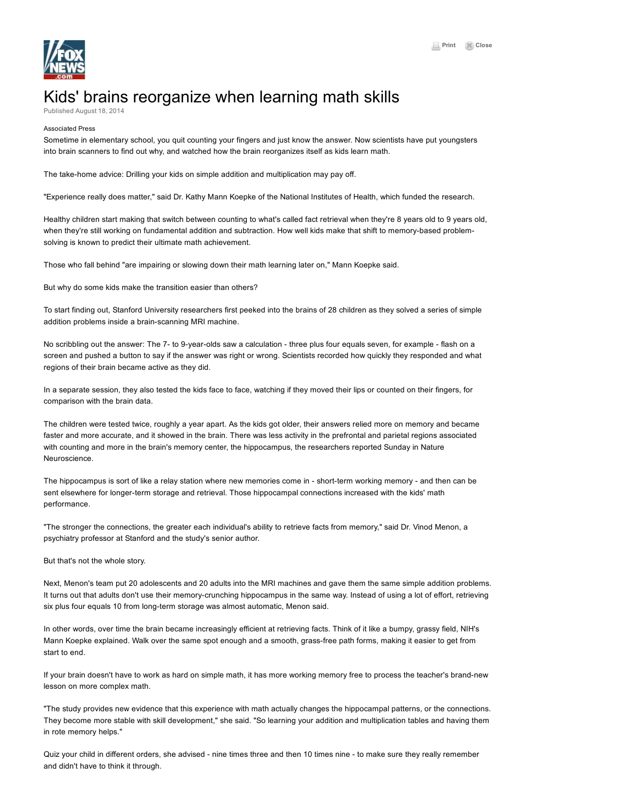

## Kids' brains reorganize when learning math skills

Published August 18, 2014

## [Associated Press](http://www.ap.org/)

Sometime in elementary school, you quit counting your fingers and just know the answer. Now scientists have put youngsters into brain scanners to find out why, and watched how the brain reorganizes itself as kids learn math.

The take-home advice: Drilling your kids on simple addition and multiplication may pay off.

"Experience really does matter," said Dr. Kathy Mann Koepke of the National Institutes of Health, which funded the research.

Healthy children start making that switch between counting to what's called fact retrieval when they're 8 years old to 9 years old, when they're still working on fundamental addition and subtraction. How well kids make that shift to memory-based problemsolving is known to predict their ultimate math achievement.

Those who fall behind "are impairing or slowing down their math learning later on," Mann Koepke said.

But why do some kids make the transition easier than others?

To start finding out, Stanford University researchers first peeked into the brains of 28 children as they solved a series of simple addition problems inside a brain-scanning MRI machine.

No scribbling out the answer: The 7- to 9-year-olds saw a calculation - three plus four equals seven, for example - flash on a screen and pushed a button to say if the answer was right or wrong. Scientists recorded how quickly they responded and what regions of their brain became active as they did.

In a separate session, they also tested the kids face to face, watching if they moved their lips or counted on their fingers, for comparison with the brain data.

The children were tested twice, roughly a year apart. As the kids got older, their answers relied more on memory and became faster and more accurate, and it showed in the brain. There was less activity in the prefrontal and parietal regions associated with counting and more in the brain's memory center, the hippocampus, the researchers reported Sunday in Nature Neuroscience.

The hippocampus is sort of like a relay station where new memories come in - short-term working memory - and then can be sent elsewhere for longer-term storage and retrieval. Those hippocampal connections increased with the kids' math performance.

"The stronger the connections, the greater each individual's ability to retrieve facts from memory," said Dr. Vinod Menon, a psychiatry professor at Stanford and the study's senior author.

But that's not the whole story.

Next, Menon's team put 20 adolescents and 20 adults into the MRI machines and gave them the same simple addition problems. It turns out that adults don't use their memory-crunching hippocampus in the same way. Instead of using a lot of effort, retrieving six plus four equals 10 from long-term storage was almost automatic, Menon said.

In other words, over time the brain became increasingly efficient at retrieving facts. Think of it like a bumpy, grassy field, NIH's Mann Koepke explained. Walk over the same spot enough and a smooth, grass-free path forms, making it easier to get from start to end.

If your brain doesn't have to work as hard on simple math, it has more working memory free to process the teacher's brand-new lesson on more complex math.

"The study provides new evidence that this experience with math actually changes the hippocampal patterns, or the connections. They become more stable with skill development," she said. "So learning your addition and multiplication tables and having them in rote memory helps."

Quiz your child in different orders, she advised - nine times three and then 10 times nine - to make sure they really remember and didn't have to think it through.